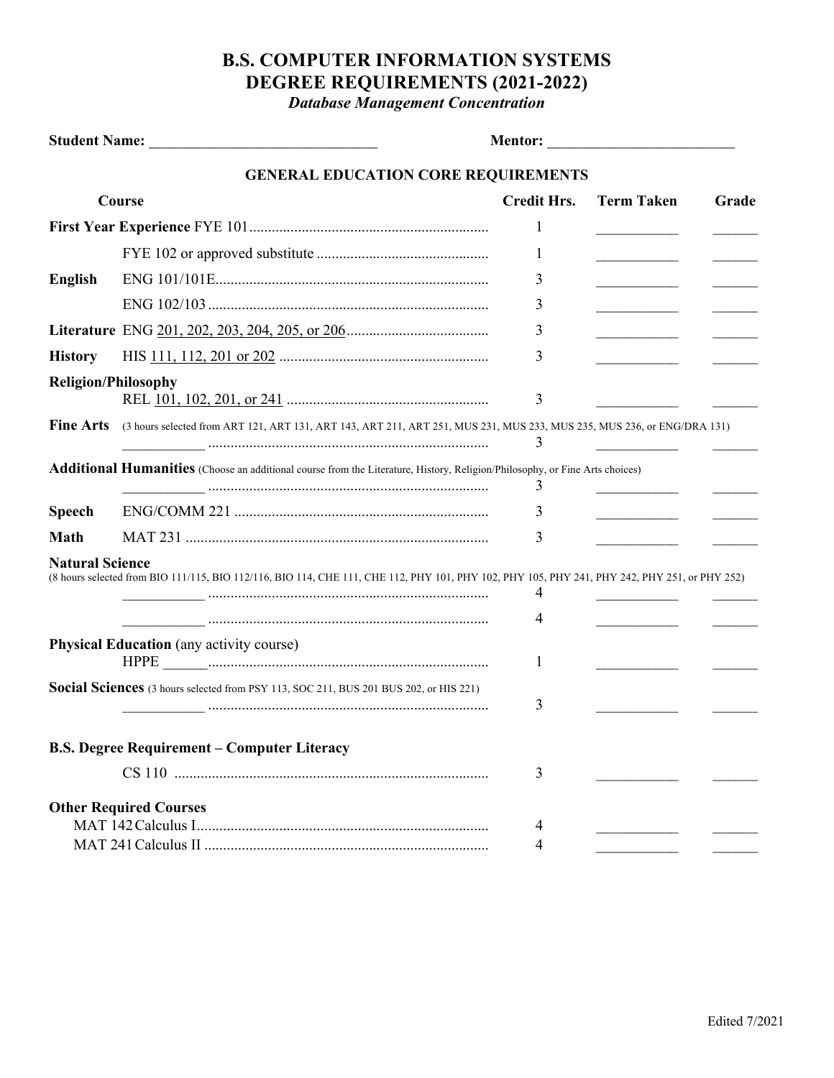## **B.S. COMPUTER INFORMATION SYSTEMS DEGREE REQUIREMENTS (2021-2022)**

*Database Management Concentration*

|                                                 |                                                                                                                                               | <b>Mentor: _______________________________</b> |                                  |       |
|-------------------------------------------------|-----------------------------------------------------------------------------------------------------------------------------------------------|------------------------------------------------|----------------------------------|-------|
|                                                 | <b>GENERAL EDUCATION CORE REQUIREMENTS</b>                                                                                                    |                                                |                                  |       |
| Course                                          |                                                                                                                                               | <b>Credit Hrs.</b>                             | <b>Term Taken</b>                | Grade |
|                                                 |                                                                                                                                               | 1                                              |                                  |       |
|                                                 |                                                                                                                                               | 1                                              |                                  |       |
| <b>English</b>                                  |                                                                                                                                               | 3                                              |                                  |       |
|                                                 |                                                                                                                                               | 3                                              |                                  |       |
|                                                 |                                                                                                                                               | 3                                              | ______________________           |       |
| <b>History</b>                                  |                                                                                                                                               | 3                                              | <u> 1999 - Johann Barnett, f</u> |       |
| <b>Religion/Philosophy</b>                      |                                                                                                                                               |                                                |                                  |       |
|                                                 |                                                                                                                                               | 3                                              |                                  |       |
| <b>Fine Arts</b>                                | (3 hours selected from ART 121, ART 131, ART 143, ART 211, ART 251, MUS 231, MUS 233, MUS 235, MUS 236, or ENG/DRA 131)                       | 3                                              |                                  |       |
|                                                 | Additional Humanities (Choose an additional course from the Literature, History, Religion/Philosophy, or Fine Arts choices)                   | 3                                              |                                  |       |
| <b>Speech</b>                                   |                                                                                                                                               | 3                                              |                                  |       |
| <b>Math</b>                                     |                                                                                                                                               | 3                                              |                                  |       |
| <b>Natural Science</b>                          | (8 hours selected from BIO 111/115, BIO 112/116, BIO 114, CHE 111, CHE 112, PHY 101, PHY 102, PHY 105, PHY 241, PHY 242, PHY 251, or PHY 252) | 4                                              |                                  |       |
|                                                 |                                                                                                                                               | 4                                              |                                  |       |
| <b>Physical Education</b> (any activity course) |                                                                                                                                               | 1                                              |                                  |       |
|                                                 | Social Sciences (3 hours selected from PSY 113, SOC 211, BUS 201 BUS 202, or HIS 221)                                                         | 3                                              |                                  |       |
|                                                 | <b>B.S. Degree Requirement - Computer Literacy</b>                                                                                            |                                                |                                  |       |
|                                                 |                                                                                                                                               | 3                                              |                                  |       |
| <b>Other Required Courses</b>                   |                                                                                                                                               | $\overline{4}$                                 |                                  |       |
|                                                 |                                                                                                                                               | 4                                              |                                  |       |